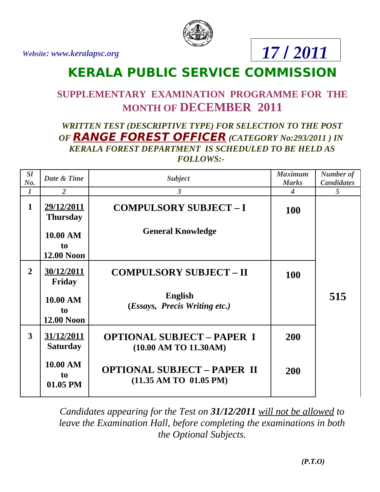*Website: www.keralapsc.org*



## *17 / 2011*

## **KERALA PUBLIC SERVICE COMMISSION**

## **SUPPLEMENTARY EXAMINATION PROGRAMME FOR THE MONTH OF DECEMBER 2011**

## *WRITTEN TEST (DESCRIPTIVE TYPE) FOR SELECTION TO THE POST OF* **RANGE FOREST OFFICER** *(CATEGORY No:293/2011 ) IN KERALA FOREST DEPARTMENT IS SCHEDULED TO BE HELD AS FOLLOWS:-*

| <b>SI</b>      | Date & Time                            | <b>Subject</b>                                                   | <b>Maximum</b> | <b>Number of</b>  |
|----------------|----------------------------------------|------------------------------------------------------------------|----------------|-------------------|
| No.            |                                        |                                                                  | <b>Marks</b>   | <b>Candidates</b> |
| 1              | 2                                      | 3                                                                | 4              | 5                 |
| $\mathbf{1}$   | 29/12/2011<br><b>Thursday</b>          | <b>COMPULSORY SUBJECT-I</b>                                      | 100            |                   |
|                | 10.00 AM                               | <b>General Knowledge</b>                                         |                |                   |
|                | t <sub>o</sub><br><b>12.00 Noon</b>    |                                                                  |                |                   |
| $\overline{2}$ | 30/12/2011<br>Friday                   | <b>COMPULSORY SUBJECT - II</b>                                   | 100            |                   |
|                | 10.00 AM<br>to<br><b>12.00 Noon</b>    | <b>English</b><br>(Essays, Precis Writing etc.)                  |                | 515               |
| 3              | 31/12/2011<br><b>Saturday</b>          | <b>OPTIONAL SUBJECT - PAPER I</b><br>(10.00 AM TO 11.30AM)       | 200            |                   |
|                | 10.00 AM<br>t <sub>o</sub><br>01.05 PM | <b>OPTIONAL SUBJECT - PAPER II</b><br>$(11.35$ AM TO $01.05$ PM) | 200            |                   |

*Candidates appearing for the Test on 31/12/2011 will not be allowed to leave the Examination Hall, before completing the examinations in both the Optional Subjects.*